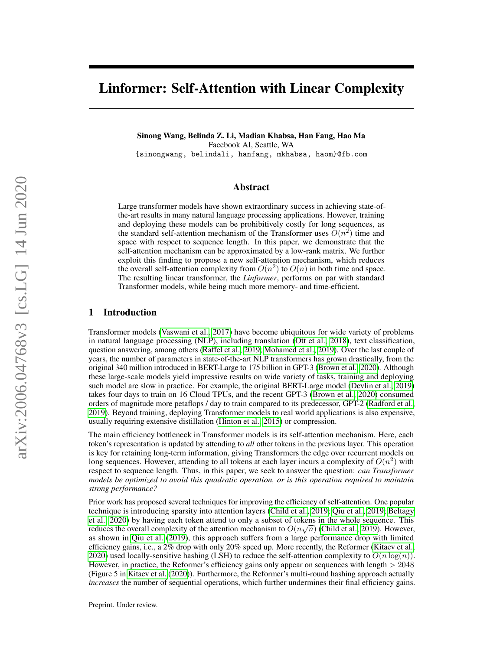# Linformer: Self-Attention with Linear Complexity

Sinong Wang, Belinda Z. Li, Madian Khabsa, Han Fang, Hao Ma Facebook AI, Seattle, WA {sinongwang, belindali, hanfang, mkhabsa, haom}@fb.com

## Abstract

Large transformer models have shown extraordinary success in achieving state-ofthe-art results in many natural language processing applications. However, training and deploying these models can be prohibitively costly for long sequences, as the standard self-attention mechanism of the Transformer uses  $O(n^2)$  time and space with respect to sequence length. In this paper, we demonstrate that the self-attention mechanism can be approximated by a low-rank matrix. We further exploit this finding to propose a new self-attention mechanism, which reduces the overall self-attention complexity from  $O(n^2)$  to  $O(n)$  in both time and space. The resulting linear transformer, the *Linformer*, performs on par with standard Transformer models, while being much more memory- and time-efficient.

#### 1 Introduction

Transformer models [\(Vaswani et al., 2017\)](#page-9-0) have become ubiquitous for wide variety of problems in natural language processing (NLP), including translation [\(Ott et al., 2018\)](#page-9-1), text classification, question answering, among others [\(Raffel et al., 2019;](#page-9-2) [Mohamed et al., 2019\)](#page-9-3). Over the last couple of years, the number of parameters in state-of-the-art NLP transformers has grown drastically, from the original 340 million introduced in BERT-Large to 175 billion in GPT-3 [\(Brown et al., 2020\)](#page-8-0). Although these large-scale models yield impressive results on wide variety of tasks, training and deploying such model are slow in practice. For example, the original BERT-Large model [\(Devlin et al., 2019\)](#page-8-1) takes four days to train on 16 Cloud TPUs, and the recent GPT-3 [\(Brown et al., 2020\)](#page-8-0) consumed orders of magnitude more petaflops / day to train compared to its predecessor, GPT-2 [\(Radford et al.,](#page-9-4) [2019\)](#page-9-4). Beyond training, deploying Transformer models to real world applications is also expensive, usually requiring extensive distillation [\(Hinton et al., 2015\)](#page-8-2) or compression.

The main efficiency bottleneck in Transformer models is its self-attention mechanism. Here, each token's representation is updated by attending to *all* other tokens in the previous layer. This operation is key for retaining long-term information, giving Transformers the edge over recurrent models on long sequences. However, attending to all tokens at each layer incurs a complexity of  $O(n^2)$  with respect to sequence length. Thus, in this paper, we seek to answer the question: *can Transformer models be optimized to avoid this quadratic operation, or is this operation required to maintain strong performance?*

Prior work has proposed several techniques for improving the efficiency of self-attention. One popular technique is introducing sparsity into attention layers [\(Child et al., 2019;](#page-8-3) [Qiu et al., 2019;](#page-9-5) [Beltagy](#page-8-4) [et al., 2020\)](#page-8-4) by having each token attend to only a subset of tokens in the whole sequence. This reduces the overall complexity of the attention mechanism to  $O(n\sqrt{n})$  [\(Child et al., 2019\)](#page-8-3). However, as shown in [Qiu et al.](#page-9-5) [\(2019\)](#page-9-5), this approach suffers from a large performance drop with limited efficiency gains, i.e., a 2% drop with only 20% speed up. More recently, the Reformer [\(Kitaev et al.,](#page-8-5) [2020\)](#page-8-5) used locally-sensitive hashing (LSH) to reduce the self-attention complexity to  $O(n \log(n))$ . However, in practice, the Reformer's efficiency gains only appear on sequences with length  $> 2048$ (Figure 5 in [Kitaev et al.](#page-8-5) [\(2020\)](#page-8-5)). Furthermore, the Reformer's multi-round hashing approach actually *increases* the number of sequential operations, which further undermines their final efficiency gains.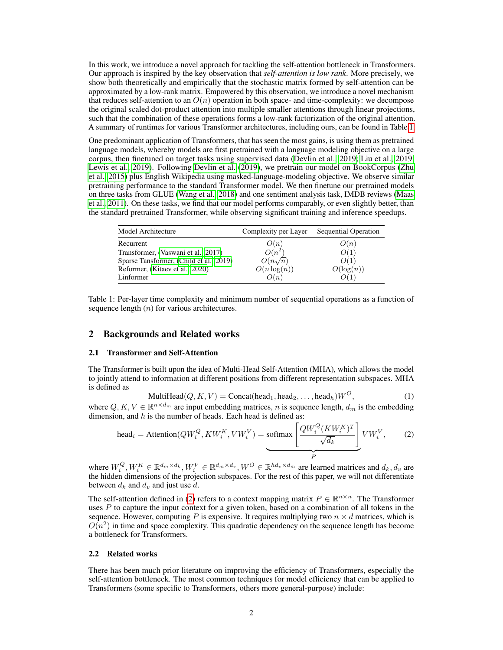In this work, we introduce a novel approach for tackling the self-attention bottleneck in Transformers. Our approach is inspired by the key observation that *self-attention is low rank*. More precisely, we show both theoretically and empirically that the stochastic matrix formed by self-attention can be approximated by a low-rank matrix. Empowered by this observation, we introduce a novel mechanism that reduces self-attention to an  $O(n)$  operation in both space- and time-complexity: we decompose the original scaled dot-product attention into multiple smaller attentions through linear projections, such that the combination of these operations forms a low-rank factorization of the original attention. A summary of runtimes for various Transformer architectures, including ours, can be found in Table [1.](#page-1-0)

One predominant application of Transformers, that has seen the most gains, is using them as pretrained language models, whereby models are first pretrained with a language modeling objective on a large corpus, then finetuned on target tasks using supervised data [\(Devlin et al., 2019;](#page-8-1) [Liu et al., 2019;](#page-8-6) [Lewis et al., 2019\)](#page-8-7). Following [Devlin et al.](#page-8-1) [\(2019\)](#page-8-1), we pretrain our model on BookCorpus [\(Zhu](#page-9-6) [et al., 2015\)](#page-9-6) plus English Wikipedia using masked-language-modeling objective. We observe similar pretraining performance to the standard Transformer model. We then finetune our pretrained models on three tasks from GLUE [\(Wang et al., 2018\)](#page-9-7) and one sentiment analysis task, IMDB reviews [\(Maas](#page-8-8) [et al., 2011\)](#page-8-8). On these tasks, we find that our model performs comparably, or even slightly better, than the standard pretrained Transformer, while observing significant training and inference speedups.

| Model Architecture                      | Complexity per Layer | Sequential Operation |
|-----------------------------------------|----------------------|----------------------|
| Recurrent                               | O(n)                 | O(n)                 |
| Transformer, (Vaswani et al., 2017)     | $O(n^2)$             | O(1)                 |
| Sparse Tansformer, (Child et al., 2019) | $O(n\sqrt{n})$       | O(1)                 |
| Reformer, (Kitaev et al., 2020)         | $O(n \log(n))$       | $O(\log(n))$         |
| Linformer                               | O(n)                 | O(1)                 |

<span id="page-1-0"></span>Table 1: Per-layer time complexity and minimum number of sequential operations as a function of sequence length  $(n)$  for various architectures.

## 2 Backgrounds and Related works

#### 2.1 Transformer and Self-Attention

The Transformer is built upon the idea of Multi-Head Self-Attention (MHA), which allows the model to jointly attend to information at different positions from different representation subspaces. MHA is defined as

$$
\text{MultiHead}(Q, K, V) = \text{Concat}(\text{head}_1, \text{head}_2, \dots, \text{head}_h)W^O,\tag{1}
$$

where  $Q, K, V \in \mathbb{R}^{n \times d_m}$  are input embedding matrices, n is sequence length,  $d_m$  is the embedding dimension, and  $h$  is the number of heads. Each head is defined as:

<span id="page-1-1"></span>head<sub>i</sub> = Attention(
$$
QW_i^Q, KW_i^K, VW_i^V
$$
) = softmax
$$
\underbrace{\begin{bmatrix} QW_i^Q(KW_i^K)^T \\ \hline \sqrt{d_k} \end{bmatrix}}_{P} VW_i^V, \qquad (2)
$$

where  $W_i^Q, W_i^K \in \mathbb{R}^{d_m \times d_k}, W_i^V \in \mathbb{R}^{d_m \times d_v}, W^O \in \mathbb{R}^{h d_v \times d_m}$  are learned matrices and  $d_k, d_v$  are the hidden dimensions of the projection subspaces. For the rest of this paper, we will not differentiate between  $d_k$  and  $d_v$  and just use d.

The self-attention defined in [\(2\)](#page-1-1) refers to a context mapping matrix  $P \in \mathbb{R}^{n \times n}$ . The Transformer uses  $P$  to capture the input context for a given token, based on a combination of all tokens in the sequence. However, computing P is expensive. It requires multiplying two  $n \times d$  matrices, which is  $O(n^2)$  in time and space complexity. This quadratic dependency on the sequence length has become a bottleneck for Transformers.

#### 2.2 Related works

There has been much prior literature on improving the efficiency of Transformers, especially the self-attention bottleneck. The most common techniques for model efficiency that can be applied to Transformers (some specific to Transformers, others more general-purpose) include: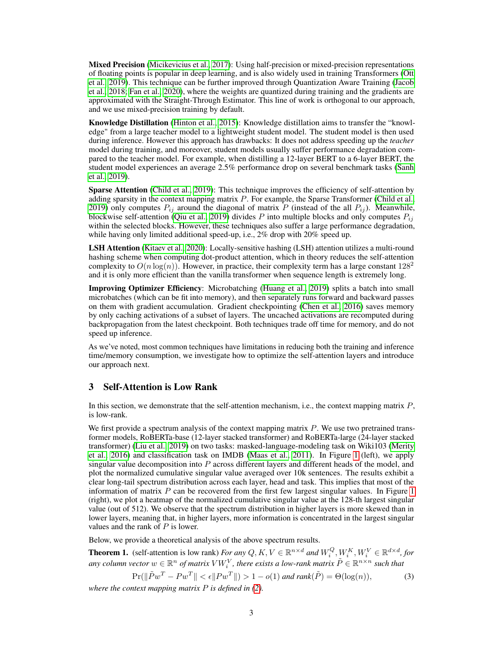**Mixed Precision** [\(Micikevicius et al., 2017\)](#page-9-8): Using half-precision or mixed-precision representations of floating points is popular in deep learning, and is also widely used in training Transformers [\(Ott](#page-9-9) [et al., 2019\)](#page-9-9). This technique can be further improved through Quantization Aware Training [\(Jacob](#page-8-9) [et al., 2018;](#page-8-9) [Fan et al., 2020\)](#page-8-10), where the weights are quantized during training and the gradients are approximated with the Straight-Through Estimator. This line of work is orthogonal to our approach, and we use mixed-precision training by default.

Knowledge Distillation [\(Hinton et al., 2015\)](#page-8-2): Knowledge distillation aims to transfer the "knowledge" from a large teacher model to a lightweight student model. The student model is then used during inference. However this approach has drawbacks: It does not address speeding up the *teacher* model during training, and moreover, student models usually suffer performance degradation compared to the teacher model. For example, when distilling a 12-layer BERT to a 6-layer BERT, the student model experiences an average 2.5% performance drop on several benchmark tasks [\(Sanh](#page-9-10) [et al., 2019\)](#page-9-10).

Sparse Attention [\(Child et al., 2019\)](#page-8-3): This technique improves the efficiency of self-attention by adding sparsity in the context mapping matrix  $P$ . For example, the Sparse Transformer [\(Child et al.,](#page-8-3) [2019\)](#page-8-3) only computes  $P_{ij}$  around the diagonal of matrix P (instead of the all  $P_{ij}$ ). Meanwhile, blockwise self-attention [\(Qiu et al., 2019\)](#page-9-5) divides P into multiple blocks and only computes  $P_{ij}$ within the selected blocks. However, these techniques also suffer a large performance degradation, while having only limited additional speed-up, i.e., 2% drop with 20% speed up.

LSH Attention [\(Kitaev et al., 2020\)](#page-8-5): Locally-sensitive hashing (LSH) attention utilizes a multi-round hashing scheme when computing dot-product attention, which in theory reduces the self-attention complexity to  $O(n \log(n))$ . However, in practice, their complexity term has a large constant  $128^2$ and it is only more efficient than the vanilla transformer when sequence length is extremely long.

Improving Optimizer Efficiency: Microbatching [\(Huang et al., 2019\)](#page-8-11) splits a batch into small microbatches (which can be fit into memory), and then separately runs forward and backward passes on them with gradient accumulation. Gradient checkpointing [\(Chen et al., 2016\)](#page-8-12) saves memory by only caching activations of a subset of layers. The uncached activations are recomputed during backpropagation from the latest checkpoint. Both techniques trade off time for memory, and do not speed up inference.

As we've noted, most common techniques have limitations in reducing both the training and inference time/memory consumption, we investigate how to optimize the self-attention layers and introduce our approach next.

## 3 Self-Attention is Low Rank

In this section, we demonstrate that the self-attention mechanism, i.e., the context mapping matrix P, is low-rank.

We first provide a spectrum analysis of the context mapping matrix  $P$ . We use two pretrained transformer models, RoBERTa-base (12-layer stacked transformer) and RoBERTa-large (24-layer stacked transformer) [\(Liu et al., 2019\)](#page-8-6) on two tasks: masked-language-modeling task on Wiki103 [\(Merity](#page-9-11) [et al., 2016\)](#page-9-11) and classification task on IMDB [\(Maas et al., 2011\)](#page-8-8). In Figure [1](#page-3-0) (left), we apply singular value decomposition into  $P$  across different layers and different heads of the model, and plot the normalized cumulative singular value averaged over 10k sentences. The results exhibit a clear long-tail spectrum distribution across each layer, head and task. This implies that most of the information of matrix  $P$  can be recovered from the first few largest singular values. In Figure [1](#page-3-0) (right), we plot a heatmap of the normalized cumulative singular value at the 128-th largest singular value (out of 512). We observe that the spectrum distribution in higher layers is more skewed than in lower layers, meaning that, in higher layers, more information is concentrated in the largest singular values and the rank of  $P$  is lower.

Below, we provide a theoretical analysis of the above spectrum results.

<span id="page-2-0"></span>**Theorem 1.** (self-attention is low rank) *For any*  $Q, K, V \in \mathbb{R}^{n \times d}$  *and*  $W_i^Q, W_i^K, W_i^V \in \mathbb{R}^{d \times d}$ , *for* any column vector  $w\in\mathbb{R}^n$  of matrix  $VW^V_i$  , there exists a low-rank matrix  $\tilde{P}\in\mathbb{R}^{n\times n}$  such that

$$
\Pr(\|\tilde{P}w^T - Pw^T\| < \epsilon \|Pw^T\|) > 1 - o(1) \text{ and } \text{rank}(\tilde{P}) = \Theta(\log(n)),\tag{3}
$$

*where the context mapping matrix* P *is defined in [\(2\)](#page-1-1).*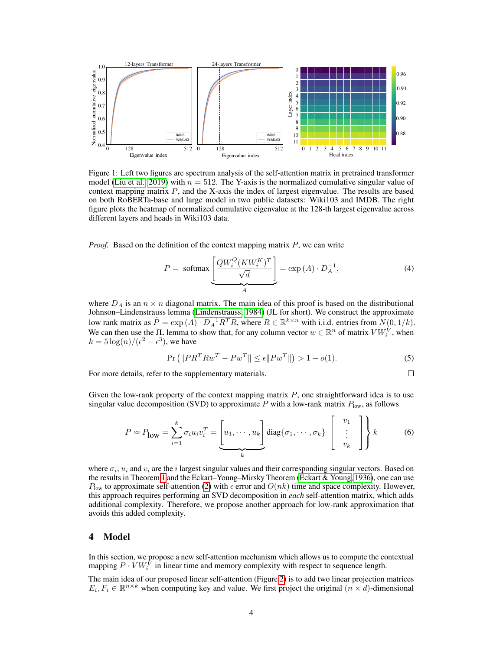

<span id="page-3-0"></span>Figure 1: Left two figures are spectrum analysis of the self-attention matrix in pretrained transformer model [\(Liu et al., 2019\)](#page-8-6) with  $n = 512$ . The Y-axis is the normalized cumulative singular value of context mapping matrix  $P$ , and the X-axis the index of largest eigenvalue. The results are based on both RoBERTa-base and large model in two public datasets: Wiki103 and IMDB. The right figure plots the heatmap of normalized cumulative eigenvalue at the 128-th largest eigenvalue across different layers and heads in Wiki103 data.

*Proof.* Based on the definition of the context mapping matrix P, we can write

$$
P = \text{softmax}\left[\frac{QW_i^Q(KW_i^K)^T}{\sqrt{d}}\right] = \exp(A) \cdot D_A^{-1},\tag{4}
$$

where  $D_A$  is an  $n \times n$  diagonal matrix. The main idea of this proof is based on the distributional Johnson–Lindenstrauss lemma [\(Lindenstrauss, 1984\)](#page-8-13) (JL for short). We construct the approximate low rank matrix as  $\tilde{P} = \exp(A) \cdot D_A^{-1} R^T R$ , where  $R \in \mathbb{R}^{k \times n}$  with i.i.d. entries from  $N(0, 1/k)$ . We can then use the JL lemma to show that, for any column vector  $w \in \mathbb{R}^n$  of matrix  $V W_i^V$ , when  $k = 5 \log(n) / (\epsilon^2 - \epsilon^3)$ , we have

$$
\Pr\left(\|PR^T R w^T - P w^T\| \le \epsilon \|P w^T\|\right) > 1 - o(1). \tag{5}
$$

For more details, refer to the supplementary materials.

$$
\square
$$

Given the low-rank property of the context mapping matrix  $P$ , one straightforward idea is to use singular value decomposition (SVD) to approximate P with a low-rank matrix  $P_{\text{low}}$ , as follows

$$
P \approx P_{\text{low}} = \sum_{i=1}^{k} \sigma_i u_i v_i^T = \underbrace{\begin{bmatrix} u_1, \cdots, u_k \end{bmatrix}}_{k} \text{diag}\{\sigma_1, \cdots, \sigma_k\} \begin{bmatrix} v_1 \\ \vdots \\ v_k \end{bmatrix} \right\} k \tag{6}
$$

where  $\sigma_i$ ,  $u_i$  and  $v_i$  are the i largest singular values and their corresponding singular vectors. Based on the results in Theorem [1](#page-2-0) and the Eckart–Young–Mirsky Theorem [\(Eckart & Young, 1936\)](#page-8-14), one can use  $P_{\text{low}}$  to approximate self-attention [\(2\)](#page-1-1) with  $\epsilon$  error and  $O(nk)$  time and space complexity. However, this approach requires performing an SVD decomposition in *each* self-attention matrix, which adds additional complexity. Therefore, we propose another approach for low-rank approximation that avoids this added complexity.

#### 4 Model

In this section, we propose a new self-attention mechanism which allows us to compute the contextual mapping  $P \cdot VW_i^{\bar{V}}$  in linear time and memory complexity with respect to sequence length.

The main idea of our proposed linear self-attention (Figure [2\)](#page-4-0) is to add two linear projection matrices  $E_i, F_i \in \mathbb{R}^{n \times k}$  when computing key and value. We first project the original  $(n \times d)$ -dimensional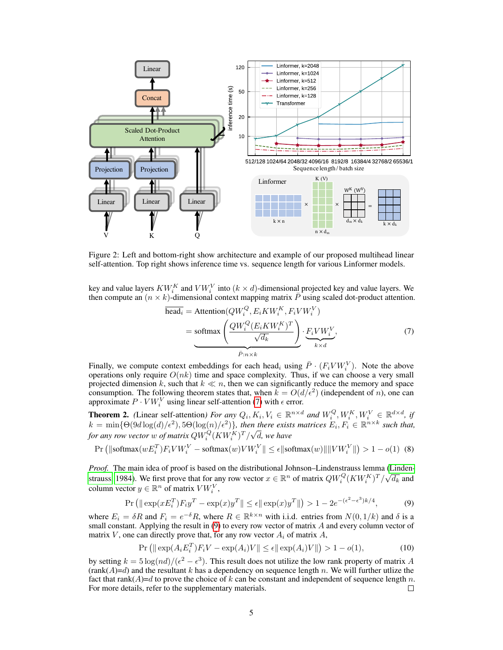

<span id="page-4-0"></span>Figure 2: Left and bottom-right show architecture and example of our proposed multihead linear self-attention. Top right shows inference time vs. sequence length for various Linformer models.

key and value layers  $KW_i^K$  and  $VW_i^V$  into  $(k \times d)$ -dimensional projected key and value layers. We then compute an  $(n \times k)$ -dimensional context mapping matrix  $\bar{P}$  using scaled dot-product attention.

<span id="page-4-1"></span>
$$
\overline{\text{head}_i} = \text{Attention}(QW_i^Q, E_i K W_i^K, F_i V W_i^V)
$$
  
= softmax  $\left(\frac{QW_i^Q (E_i K W_i^K)^T}{\sqrt{d_k}}\right) \cdot \underbrace{F_i V W_i^V}_{k \times d},$  (7)

Finally, we compute context embeddings for each head<sub>i</sub> using  $\bar{P} \cdot (F_i V W_i^V)$ . Note the above operations only require  $O(nk)$  time and space complexity. Thus, if we can choose a very small projected dimension k, such that  $k \ll n$ , then we can significantly reduce the memory and space consumption. The following theorem states that, when  $\vec{k} = O(d/\epsilon^2)$  (independent of *n*), one can approximate  $P \cdot VW_i^V$  using linear self-attention [\(7\)](#page-4-1) with  $\epsilon$  error.

**Theorem 2.** *(Linear self-attention) For any*  $Q_i, K_i, V_i \in \mathbb{R}^{n \times d}$  and  $W_i^Q, W_i^K, W_i^V \in \mathbb{R}^{d \times d}$ , if  $k = \min\{\Theta(9d\log(d)/\epsilon^2), 5\Theta(\log(n)/\epsilon^2)\}\$ , then there exists matrices  $E_i, F_i \in \mathbb{R}^{n \times k}$  such that,  $\kappa = \min_{\{ \Theta(\text{SU}) \leq k \}} \max_{\{ \Theta(\text{U}) \leq k \}} \max_{\{ \Theta(\text{U}) \leq k \}} \max_{\{ \Theta(\text{V}) \leq k \}} \min_{\{ \Theta(\text{V}) \leq k \}} \min_{\{ \Theta(\text{V}) \leq k \}} \min_{\{ \Theta(\text{V}) \leq k \}} \min_{\{ \Theta(\text{V}) \leq k \}} \min_{\{ \Theta(\text{V}) \leq k \}} \min_{\{ \Theta(\text{V}) \leq k \}} \min_{\{ \Theta(\text{V}) \leq k \}} \min_{\{ \Theta(\text{V}) \leq k \$ d*, we have*

$$
\Pr\left(\|\text{softmax}(wE_i^T)F_iVW_i^V - \text{softmax}(w)VW_i^V\|\le \epsilon \|\text{softmax}(w)\|\|VW_i^V\|\right) > 1 - o(1) \tag{8}
$$

*Proof.* The main idea of proof is based on the distributional Johnson–Lindenstrauss lemma [\(Linden-](#page-8-13)*Froof.* The main idea of proof is based on the distributional Johnson–Lindensualus lemma (Lindensity  $QW_i^Q(KW_i^K)^T/\sqrt{d_k}$  and [strauss, 1984\)](#page-8-13). We first prove that for any row vector  $x \in \mathbb{R}^n$  of matrix  $QW_i^Q(KW_i^K)^T/\sqrt{d$ column vector  $y \in \mathbb{R}^n$  of matrix  $VW_i^V$ ,

$$
\Pr\left(\|\exp(xE_i^T)F_iy^T - \exp(x)y^T\| \le \epsilon \|\exp(x)y^T\|\right) > 1 - 2e^{-(\epsilon^2 - \epsilon^3)k/4},\tag{9}
$$

where  $E_i = \delta R$  and  $F_i = e^{-\delta} R$ , where  $R \in \mathbb{R}^{k \times n}$  with i.i.d. entries from  $N(0, 1/k)$  and  $\delta$  is a small constant. Applying the result in [\(9\)](#page-4-2) to every row vector of matrix A and every column vector of matrix V, one can directly prove that, for any row vector  $A_i$  of matrix A,

<span id="page-4-2"></span>
$$
\Pr\left(\|\exp(A_i E_i^T) F_i V - \exp(A_i) V\| \le \epsilon \|\exp(A_i) V\|\right) > 1 - o(1),\tag{10}
$$

by setting  $k = 5 \log(nd)/(\epsilon^2 - \epsilon^3)$ . This result does not utilize the low rank property of matrix A  $(rank(A)=d)$  and the resultant k has a dependency on sequence length n. We will further utlize the fact that rank( $A$ )=d to prove the choice of k can be constant and independent of sequence length n. For more details, refer to the supplementary materials.  $\Box$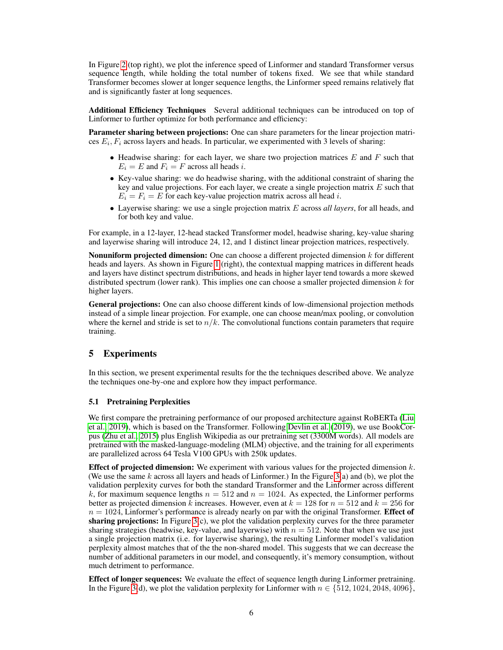In Figure [2](#page-4-0) (top right), we plot the inference speed of Linformer and standard Transformer versus sequence length, while holding the total number of tokens fixed. We see that while standard Transformer becomes slower at longer sequence lengths, the Linformer speed remains relatively flat and is significantly faster at long sequences.

Additional Efficiency Techniques Several additional techniques can be introduced on top of Linformer to further optimize for both performance and efficiency:

Parameter sharing between projections: One can share parameters for the linear projection matrices  $E_i$ ,  $F_i$  across layers and heads. In particular, we experimented with 3 levels of sharing:

- Headwise sharing: for each layer, we share two projection matrices  $E$  and  $F$  such that  $E_i = E$  and  $F_i = F$  across all heads i.
- Key-value sharing: we do headwise sharing, with the additional constraint of sharing the key and value projections. For each layer, we create a single projection matrix  $E$  such that  $E_i = F_i = E$  for each key-value projection matrix across all head *i*.
- Layerwise sharing: we use a single projection matrix E across *all layers*, for all heads, and for both key and value.

For example, in a 12-layer, 12-head stacked Transformer model, headwise sharing, key-value sharing and layerwise sharing will introduce 24, 12, and 1 distinct linear projection matrices, respectively.

**Nonuniform projected dimension:** One can choose a different projected dimension  $k$  for different heads and layers. As shown in Figure [1](#page-3-0) (right), the contextual mapping matrices in different heads and layers have distinct spectrum distributions, and heads in higher layer tend towards a more skewed distributed spectrum (lower rank). This implies one can choose a smaller projected dimension  $k$  for higher layers.

General projections: One can also choose different kinds of low-dimensional projection methods instead of a simple linear projection. For example, one can choose mean/max pooling, or convolution where the kernel and stride is set to  $n/k$ . The convolutional functions contain parameters that require training.

# 5 Experiments

In this section, we present experimental results for the the techniques described above. We analyze the techniques one-by-one and explore how they impact performance.

### 5.1 Pretraining Perplexities

We first compare the pretraining performance of our proposed architecture against RoBERTa [\(Liu](#page-8-6) [et al., 2019\)](#page-8-6), which is based on the Transformer. Following [Devlin et al.](#page-8-1) [\(2019\)](#page-8-1), we use BookCorpus [\(Zhu et al., 2015\)](#page-9-6) plus English Wikipedia as our pretraining set (3300M words). All models are pretrained with the masked-language-modeling (MLM) objective, and the training for all experiments are parallelized across 64 Tesla V100 GPUs with 250k updates.

**Effect of projected dimension:** We experiment with various values for the projected dimension  $k$ . (We use the same k across all layers and heads of Linformer.) In the Figure  $3(a)$  and (b), we plot the validation perplexity curves for both the standard Transformer and the Linformer across different k, for maximum sequence lengths  $n = 512$  and  $n = 1024$ . As expected, the Linformer performs better as projected dimension k increases. However, even at  $k = 128$  for  $n = 512$  and  $k = 256$  for  $n = 1024$ , Linformer's performance is already nearly on par with the original Transformer. **Effect of** sharing projections: In Figure [3\(](#page-6-0)c), we plot the validation perplexity curves for the three parameter sharing strategies (headwise, key-value, and layerwise) with  $n = 512$ . Note that when we use just a single projection matrix (i.e. for layerwise sharing), the resulting Linformer model's validation perplexity almost matches that of the the non-shared model. This suggests that we can decrease the number of additional parameters in our model, and consequently, it's memory consumption, without much detriment to performance.

Effect of longer sequences: We evaluate the effect of sequence length during Linformer pretraining. In the Figure [3\(](#page-6-0)d), we plot the validation perplexity for Linformer with  $n \in \{512, 1024, 2048, 4096\}$ ,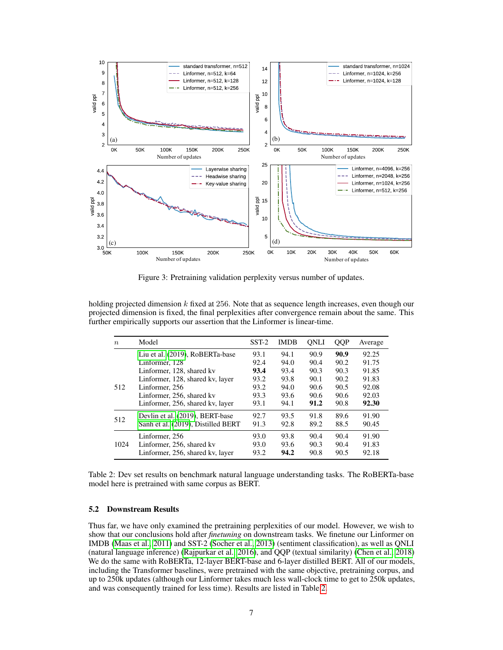

<span id="page-6-0"></span>Figure 3: Pretraining validation perplexity versus number of updates.

holding projected dimension  $k$  fixed at 256. Note that as sequence length increases, even though our projected dimension is fixed, the final perplexities after convergence remain about the same. This further empirically supports our assertion that the Linformer is linear-time.

| $\boldsymbol{n}$ | Model                              | $SST-2$ | <b>IMDB</b> | ONLI | <b>OOP</b> | Average |
|------------------|------------------------------------|---------|-------------|------|------------|---------|
|                  | Liu et al. (2019), RoBERTa-base    | 93.1    | 94.1        | 90.9 | 90.9       | 92.25   |
|                  | Linformer, 128                     | 92.4    | 94.0        | 90.4 | 90.2       | 91.75   |
|                  | Linformer, 128, shared kv          | 93.4    | 93.4        | 90.3 | 90.3       | 91.85   |
|                  | Linformer, 128, shared kv, layer   | 93.2    | 93.8        | 90.1 | 90.2       | 91.83   |
| 512              | Linformer, 256                     | 93.2    | 94.0        | 90.6 | 90.5       | 92.08   |
|                  | Linformer, 256, shared kv          | 93.3    | 93.6        | 90.6 | 90.6       | 92.03   |
|                  | Linformer, 256, shared kv, layer   | 93.1    | 94.1        | 91.2 | 90.8       | 92.30   |
| 512              | Devlin et al. (2019), BERT-base    | 92.7    | 93.5        | 91.8 | 89.6       | 91.90   |
|                  | Sanh et al. (2019), Distilled BERT | 91.3    | 92.8        | 89.2 | 88.5       | 90.45   |
|                  | Linformer, 256                     | 93.0    | 93.8        | 90.4 | 90.4       | 91.90   |
| 1024             | Linformer, 256, shared kv          | 93.0    | 93.6        | 90.3 | 90.4       | 91.83   |
|                  | Linformer, 256, shared kv, layer   | 93.2    | 94.2        | 90.8 | 90.5       | 92.18   |

<span id="page-6-1"></span>Table 2: Dev set results on benchmark natural language understanding tasks. The RoBERTa-base model here is pretrained with same corpus as BERT.

#### 5.2 Downstream Results

Thus far, we have only examined the pretraining perplexities of our model. However, we wish to show that our conclusions hold after *finetuning* on downstream tasks. We finetune our Linformer on IMDB [\(Maas et al., 2011\)](#page-8-8) and SST-2 [\(Socher et al., 2013\)](#page-9-12) (sentiment classification), as well as QNLI (natural language inference) [\(Rajpurkar et al., 2016\)](#page-9-13), and QQP (textual similarity) [\(Chen et al., 2018\)](#page-8-15) We do the same with RoBERTa, 12-layer BERT-base and 6-layer distilled BERT. All of our models, including the Transformer baselines, were pretrained with the same objective, pretraining corpus, and up to 250k updates (although our Linformer takes much less wall-clock time to get to 250k updates, and was consequently trained for less time). Results are listed in Table [2.](#page-6-1)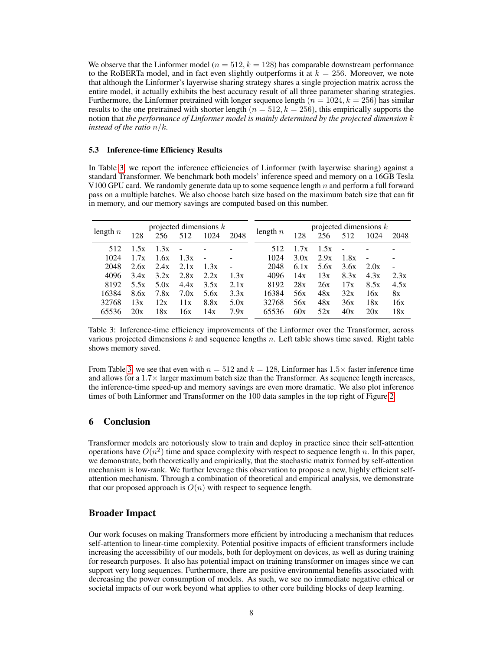We observe that the Linformer model ( $n = 512, k = 128$ ) has comparable downstream performance to the RoBERTa model, and in fact even slightly outperforms it at  $k = 256$ . Moreover, we note that although the Linformer's layerwise sharing strategy shares a single projection matrix across the entire model, it actually exhibits the best accuracy result of all three parameter sharing strategies. Furthermore, the Linformer pretrained with longer sequence length ( $n = 1024$ ,  $k = 256$ ) has similar results to the one pretrained with shorter length  $(n = 512, k = 256)$ , this empirically supports the notion that *the performance of Linformer model is mainly determined by the projected dimension* k *instead of the ratio* n/k*.*

#### 5.3 Inference-time Efficiency Results

In Table [3,](#page-7-0) we report the inference efficiencies of Linformer (with layerwise sharing) against a standard Transformer. We benchmark both models' inference speed and memory on a 16GB Tesla V100 GPU card. We randomly generate data up to some sequence length  $n$  and perform a full forward pass on a multiple batches. We also choose batch size based on the maximum batch size that can fit in memory, and our memory savings are computed based on this number.

| length $n$ | projected dimensions $k$<br>1024<br>256<br>512<br>2048 |      |        |      | length $n$ | projected dimensions $k$ |      |      |      |      |      |
|------------|--------------------------------------------------------|------|--------|------|------------|--------------------------|------|------|------|------|------|
|            | 128                                                    |      |        |      |            |                          | 128  | 256  | 512  | 1024 | 2048 |
| 512        | 1.5x                                                   | 1.3x | $\sim$ |      |            | 512                      | 17x  | 1.5x |      |      |      |
| 1024       | 1.7x                                                   | 1.6x | 1.3x   |      |            | 1024                     | 3.0x | 2.9x | 1.8x |      |      |
| 2048       | 2.6x                                                   | 2.4x | 2.1x   | 1.3x |            | 2048                     | 6.1x | 5.6x | 3.6x | 2.0x |      |
| 4096       | 3.4x                                                   | 3.2x | 2.8x   | 2.2x | 1.3x       | 4096                     | 14x  | 13x  | 8.3x | 4.3x | 2.3x |
| 8192       | 5.5x                                                   | 5.0x | 4.4x   | 3.5x | 2.1x       | 8192                     | 28x  | 26x  | 17x  | 8.5x | 4.5x |
| 16384      | 8.6x                                                   | 7.8x | 7.0x   | 5.6x | 3.3x       | 16384                    | 56x  | 48x  | 32x  | 16x  | 8x   |
| 32768      | 13x                                                    | 12x  | 11x    | 8.8x | 5.0x       | 32768                    | 56x  | 48x  | 36x  | 18x  | 16x  |
| 65536      | 20x                                                    | 18x  | 16x    | 14x  | 7.9x       | 65536                    | 60x  | 52x  | 40x  | 20x  | 18x  |

<span id="page-7-0"></span>Table 3: Inference-time efficiency improvements of the Linformer over the Transformer, across various projected dimensions  $k$  and sequence lengths  $n$ . Left table shows time saved. Right table shows memory saved.

From Table [3,](#page-7-0) we see that even with  $n = 512$  and  $k = 128$ , Linformer has  $1.5 \times$  faster inference time and allows for a  $1.7\times$  larger maximum batch size than the Transformer. As sequence length increases, the inference-time speed-up and memory savings are even more dramatic. We also plot inference times of both Linformer and Transformer on the 100 data samples in the top right of Figure [2.](#page-4-0)

# 6 Conclusion

Transformer models are notoriously slow to train and deploy in practice since their self-attention operations have  $O(n^2)$  time and space complexity with respect to sequence length n. In this paper, we demonstrate, both theoretically and empirically, that the stochastic matrix formed by self-attention mechanism is low-rank. We further leverage this observation to propose a new, highly efficient selfattention mechanism. Through a combination of theoretical and empirical analysis, we demonstrate that our proposed approach is  $O(n)$  with respect to sequence length.

### Broader Impact

Our work focuses on making Transformers more efficient by introducing a mechanism that reduces self-attention to linear-time complexity. Potential positive impacts of efficient transformers include increasing the accessibility of our models, both for deployment on devices, as well as during training for research purposes. It also has potential impact on training transformer on images since we can support very long sequences. Furthermore, there are positive environmental benefits associated with decreasing the power consumption of models. As such, we see no immediate negative ethical or societal impacts of our work beyond what applies to other core building blocks of deep learning.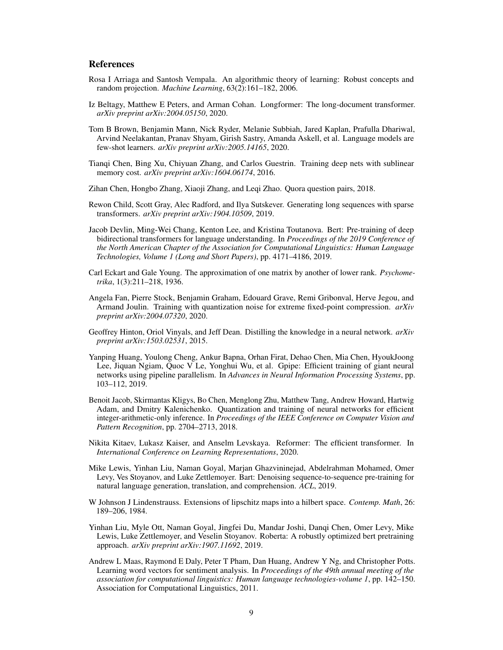## **References**

- <span id="page-8-16"></span>Rosa I Arriaga and Santosh Vempala. An algorithmic theory of learning: Robust concepts and random projection. *Machine Learning*, 63(2):161–182, 2006.
- <span id="page-8-4"></span>Iz Beltagy, Matthew E Peters, and Arman Cohan. Longformer: The long-document transformer. *arXiv preprint arXiv:2004.05150*, 2020.
- <span id="page-8-0"></span>Tom B Brown, Benjamin Mann, Nick Ryder, Melanie Subbiah, Jared Kaplan, Prafulla Dhariwal, Arvind Neelakantan, Pranav Shyam, Girish Sastry, Amanda Askell, et al. Language models are few-shot learners. *arXiv preprint arXiv:2005.14165*, 2020.
- <span id="page-8-12"></span>Tianqi Chen, Bing Xu, Chiyuan Zhang, and Carlos Guestrin. Training deep nets with sublinear memory cost. *arXiv preprint arXiv:1604.06174*, 2016.
- <span id="page-8-15"></span>Zihan Chen, Hongbo Zhang, Xiaoji Zhang, and Leqi Zhao. Quora question pairs, 2018.
- <span id="page-8-3"></span>Rewon Child, Scott Gray, Alec Radford, and Ilya Sutskever. Generating long sequences with sparse transformers. *arXiv preprint arXiv:1904.10509*, 2019.
- <span id="page-8-1"></span>Jacob Devlin, Ming-Wei Chang, Kenton Lee, and Kristina Toutanova. Bert: Pre-training of deep bidirectional transformers for language understanding. In *Proceedings of the 2019 Conference of the North American Chapter of the Association for Computational Linguistics: Human Language Technologies, Volume 1 (Long and Short Papers)*, pp. 4171–4186, 2019.
- <span id="page-8-14"></span>Carl Eckart and Gale Young. The approximation of one matrix by another of lower rank. *Psychometrika*, 1(3):211–218, 1936.
- <span id="page-8-10"></span>Angela Fan, Pierre Stock, Benjamin Graham, Edouard Grave, Remi Gribonval, Herve Jegou, and Armand Joulin. Training with quantization noise for extreme fixed-point compression. *arXiv preprint arXiv:2004.07320*, 2020.
- <span id="page-8-2"></span>Geoffrey Hinton, Oriol Vinyals, and Jeff Dean. Distilling the knowledge in a neural network. *arXiv preprint arXiv:1503.02531*, 2015.
- <span id="page-8-11"></span>Yanping Huang, Youlong Cheng, Ankur Bapna, Orhan Firat, Dehao Chen, Mia Chen, HyoukJoong Lee, Jiquan Ngiam, Quoc V Le, Yonghui Wu, et al. Gpipe: Efficient training of giant neural networks using pipeline parallelism. In *Advances in Neural Information Processing Systems*, pp. 103–112, 2019.
- <span id="page-8-9"></span>Benoit Jacob, Skirmantas Kligys, Bo Chen, Menglong Zhu, Matthew Tang, Andrew Howard, Hartwig Adam, and Dmitry Kalenichenko. Quantization and training of neural networks for efficient integer-arithmetic-only inference. In *Proceedings of the IEEE Conference on Computer Vision and Pattern Recognition*, pp. 2704–2713, 2018.
- <span id="page-8-5"></span>Nikita Kitaev, Lukasz Kaiser, and Anselm Levskaya. Reformer: The efficient transformer. In *International Conference on Learning Representations*, 2020.
- <span id="page-8-7"></span>Mike Lewis, Yinhan Liu, Naman Goyal, Marjan Ghazvininejad, Abdelrahman Mohamed, Omer Levy, Ves Stoyanov, and Luke Zettlemoyer. Bart: Denoising sequence-to-sequence pre-training for natural language generation, translation, and comprehension. *ACL*, 2019.
- <span id="page-8-13"></span>W Johnson J Lindenstrauss. Extensions of lipschitz maps into a hilbert space. *Contemp. Math*, 26: 189–206, 1984.
- <span id="page-8-6"></span>Yinhan Liu, Myle Ott, Naman Goyal, Jingfei Du, Mandar Joshi, Danqi Chen, Omer Levy, Mike Lewis, Luke Zettlemoyer, and Veselin Stoyanov. Roberta: A robustly optimized bert pretraining approach. *arXiv preprint arXiv:1907.11692*, 2019.
- <span id="page-8-8"></span>Andrew L Maas, Raymond E Daly, Peter T Pham, Dan Huang, Andrew Y Ng, and Christopher Potts. Learning word vectors for sentiment analysis. In *Proceedings of the 49th annual meeting of the association for computational linguistics: Human language technologies-volume 1*, pp. 142–150. Association for Computational Linguistics, 2011.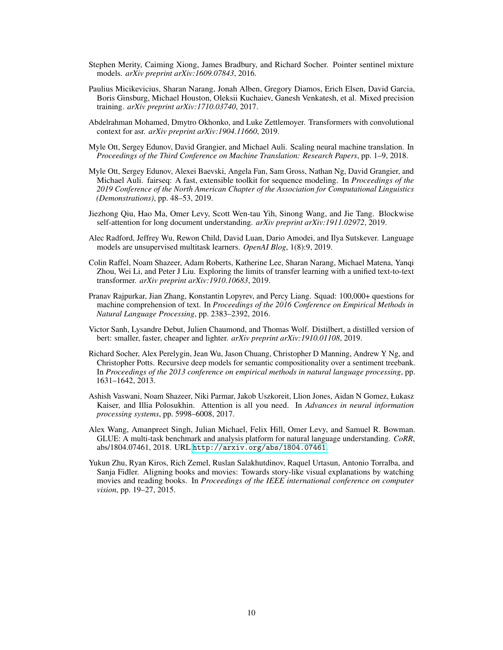- <span id="page-9-11"></span>Stephen Merity, Caiming Xiong, James Bradbury, and Richard Socher. Pointer sentinel mixture models. *arXiv preprint arXiv:1609.07843*, 2016.
- <span id="page-9-8"></span>Paulius Micikevicius, Sharan Narang, Jonah Alben, Gregory Diamos, Erich Elsen, David Garcia, Boris Ginsburg, Michael Houston, Oleksii Kuchaiev, Ganesh Venkatesh, et al. Mixed precision training. *arXiv preprint arXiv:1710.03740*, 2017.
- <span id="page-9-3"></span>Abdelrahman Mohamed, Dmytro Okhonko, and Luke Zettlemoyer. Transformers with convolutional context for asr. *arXiv preprint arXiv:1904.11660*, 2019.
- <span id="page-9-1"></span>Myle Ott, Sergey Edunov, David Grangier, and Michael Auli. Scaling neural machine translation. In *Proceedings of the Third Conference on Machine Translation: Research Papers*, pp. 1–9, 2018.
- <span id="page-9-9"></span>Myle Ott, Sergey Edunov, Alexei Baevski, Angela Fan, Sam Gross, Nathan Ng, David Grangier, and Michael Auli. fairseq: A fast, extensible toolkit for sequence modeling. In *Proceedings of the 2019 Conference of the North American Chapter of the Association for Computational Linguistics (Demonstrations)*, pp. 48–53, 2019.
- <span id="page-9-5"></span>Jiezhong Qiu, Hao Ma, Omer Levy, Scott Wen-tau Yih, Sinong Wang, and Jie Tang. Blockwise self-attention for long document understanding. *arXiv preprint arXiv:1911.02972*, 2019.
- <span id="page-9-4"></span>Alec Radford, Jeffrey Wu, Rewon Child, David Luan, Dario Amodei, and Ilya Sutskever. Language models are unsupervised multitask learners. *OpenAI Blog*, 1(8):9, 2019.
- <span id="page-9-2"></span>Colin Raffel, Noam Shazeer, Adam Roberts, Katherine Lee, Sharan Narang, Michael Matena, Yanqi Zhou, Wei Li, and Peter J Liu. Exploring the limits of transfer learning with a unified text-to-text transformer. *arXiv preprint arXiv:1910.10683*, 2019.
- <span id="page-9-13"></span>Pranav Rajpurkar, Jian Zhang, Konstantin Lopyrev, and Percy Liang. Squad: 100,000+ questions for machine comprehension of text. In *Proceedings of the 2016 Conference on Empirical Methods in Natural Language Processing*, pp. 2383–2392, 2016.
- <span id="page-9-10"></span>Victor Sanh, Lysandre Debut, Julien Chaumond, and Thomas Wolf. Distilbert, a distilled version of bert: smaller, faster, cheaper and lighter. *arXiv preprint arXiv:1910.01108*, 2019.
- <span id="page-9-12"></span>Richard Socher, Alex Perelygin, Jean Wu, Jason Chuang, Christopher D Manning, Andrew Y Ng, and Christopher Potts. Recursive deep models for semantic compositionality over a sentiment treebank. In *Proceedings of the 2013 conference on empirical methods in natural language processing*, pp. 1631–1642, 2013.
- <span id="page-9-0"></span>Ashish Vaswani, Noam Shazeer, Niki Parmar, Jakob Uszkoreit, Llion Jones, Aidan N Gomez, Łukasz Kaiser, and Illia Polosukhin. Attention is all you need. In *Advances in neural information processing systems*, pp. 5998–6008, 2017.
- <span id="page-9-7"></span>Alex Wang, Amanpreet Singh, Julian Michael, Felix Hill, Omer Levy, and Samuel R. Bowman. GLUE: A multi-task benchmark and analysis platform for natural language understanding. *CoRR*, abs/1804.07461, 2018. URL <http://arxiv.org/abs/1804.07461>.
- <span id="page-9-6"></span>Yukun Zhu, Ryan Kiros, Rich Zemel, Ruslan Salakhutdinov, Raquel Urtasun, Antonio Torralba, and Sanja Fidler. Aligning books and movies: Towards story-like visual explanations by watching movies and reading books. In *Proceedings of the IEEE international conference on computer vision*, pp. 19–27, 2015.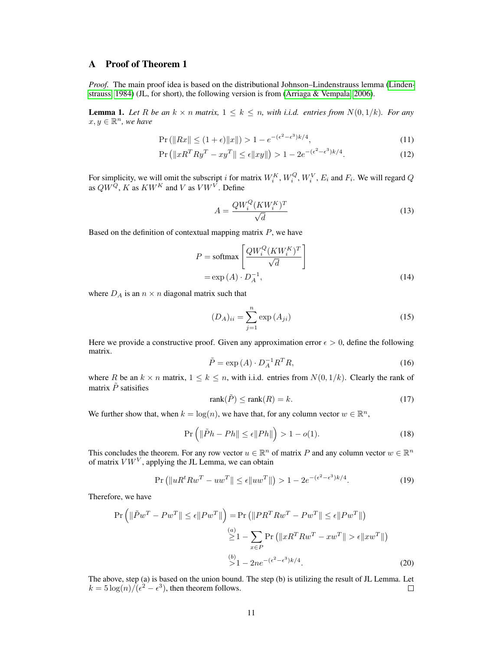# A Proof of Theorem 1

*Proof.* The main proof idea is based on the distributional Johnson–Lindenstrauss lemma [\(Linden](#page-8-13)[strauss, 1984\)](#page-8-13) (JL, for short), the following version is from [\(Arriaga & Vempala, 2006\)](#page-8-16).

**Lemma 1.** Let R be an  $k \times n$  matrix,  $1 \leq k \leq n$ , with i.i.d. entries from  $N(0, 1/k)$ . For any  $x, y \in \mathbb{R}^n$ , we have

$$
\Pr\left(\|Rx\| \le (1+\epsilon)\|x\|\right) > 1 - e^{-(\epsilon^2 - \epsilon^3)k/4},\tag{11}
$$

$$
\Pr\left(\|xR^T R y^T - x y^T\| \le \epsilon \|xy\|\right) > 1 - 2e^{-(\epsilon^2 - \epsilon^3)k/4}.\tag{12}
$$

For simplicity, we will omit the subscript i for matrix  $W_i^K$ ,  $W_i^Q$ ,  $W_i^V$ ,  $E_i$  and  $F_i$ . We will regard Q as  $QW^Q$ , K as  $KW^K$  and V as  $VW^V$ . Define

<span id="page-10-1"></span><span id="page-10-0"></span>
$$
A = \frac{QW_i^Q (KW_i^K)^T}{\sqrt{d}}\tag{13}
$$

Based on the definition of contextual mapping matrix  $P$ , we have

$$
P = \text{softmax}\left[\frac{QW_i^Q(KW_i^K)^T}{\sqrt{d}}\right]
$$

$$
= \exp(A) \cdot D_A^{-1},\tag{14}
$$

where  $D_A$  is an  $n \times n$  diagonal matrix such that

$$
(D_A)_{ii} = \sum_{j=1}^{n} \exp(A_{ji})
$$
\n(15)

Here we provide a constructive proof. Given any approximation error  $\epsilon > 0$ , define the following matrix.

$$
\tilde{P} = \exp\left(A\right) \cdot D_A^{-1} R^T R,\tag{16}
$$

where R be an  $k \times n$  matrix,  $1 \leq k \leq n$ , with i.i.d. entries from  $N(0, 1/k)$ . Clearly the rank of matrix  $\tilde{P}$  satisifies

$$
rank(\tilde{P}) \le rank(R) = k.
$$
\n(17)

We further show that, when  $k = log(n)$ , we have that, for any column vector  $w \in \mathbb{R}^n$ ,

$$
\Pr\left(\|\tilde{P}h - Ph\| \le \epsilon \|Ph\|\right) > 1 - o(1). \tag{18}
$$

This concludes the theorem. For any row vector  $u \in \mathbb{R}^n$  of matrix P and any column vector  $w \in \mathbb{R}^n$ of matrix  $VW<sup>V</sup>$ , applying the JL Lemma, we can obtain

$$
\Pr\left(\|uR^t R w^T - u w^T\| \le \epsilon \|u w^T\|\right) > 1 - 2e^{-(\epsilon^2 - \epsilon^3)k/4}.\tag{19}
$$

Therefore, we have

$$
\Pr\left(\|\tilde{P}w^T - Pw^T\| \le \epsilon \|Pw^T\|\right) = \Pr\left(\|PR^TRw^T - Pw^T\| \le \epsilon \|Pw^T\|\right)
$$

$$
\ge 1 - \sum_{x \in P} \Pr\left(\|xR^TRw^T - xw^T\| > \epsilon \|xw^T\|\right)
$$

$$
\ge 1 - 2ne^{-(\epsilon^2 - \epsilon^3)k/4}.\tag{20}
$$

The above, step (a) is based on the union bound. The step (b) is utilizing the result of JL Lemma. Let  $k = 5 \log(n) / (\epsilon^2 - \epsilon^3)$ , then theorem follows.  $\Box$